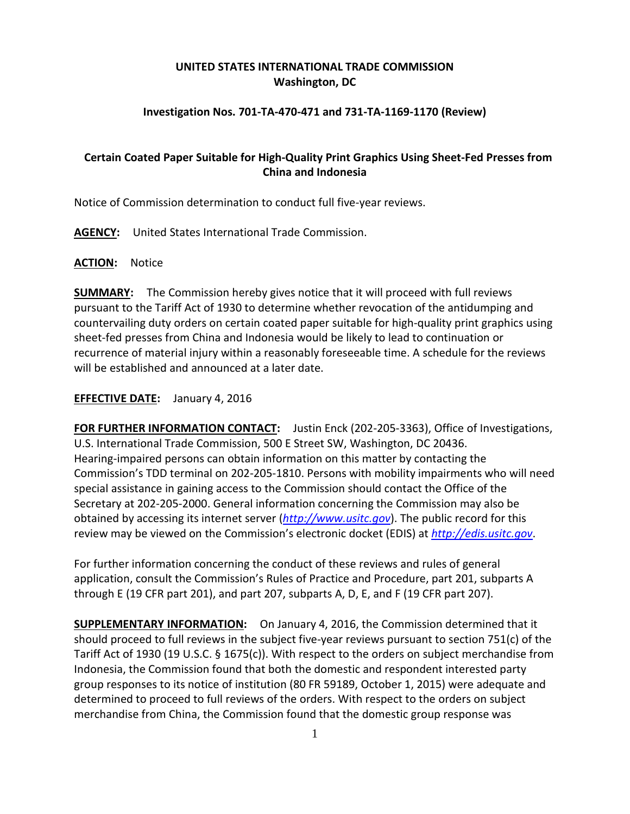## **UNITED STATES INTERNATIONAL TRADE COMMISSION Washington, DC**

### **Investigation Nos. 701-TA-470-471 and 731-TA-1169-1170 (Review)**

# **Certain Coated Paper Suitable for High-Quality Print Graphics Using Sheet-Fed Presses from China and Indonesia**

Notice of Commission determination to conduct full five-year reviews.

**AGENCY:** United States International Trade Commission.

### **ACTION:** Notice

**SUMMARY:** The Commission hereby gives notice that it will proceed with full reviews pursuant to the Tariff Act of 1930 to determine whether revocation of the antidumping and countervailing duty orders on certain coated paper suitable for high-quality print graphics using sheet-fed presses from China and Indonesia would be likely to lead to continuation or recurrence of material injury within a reasonably foreseeable time. A schedule for the reviews will be established and announced at a later date.

### **EFFECTIVE DATE:** January 4, 2016

**FOR FURTHER INFORMATION CONTACT:** Justin Enck (202-205-3363), Office of Investigations, U.S. International Trade Commission, 500 E Street SW, Washington, DC 20436. Hearing-impaired persons can obtain information on this matter by contacting the Commission's TDD terminal on 202-205-1810. Persons with mobility impairments who will need special assistance in gaining access to the Commission should contact the Office of the Secretary at 202-205-2000. General information concerning the Commission may also be obtained by accessing its internet server (*[http://www.usitc.gov](http://www.usitc.gov/)*). The public record for this review may be viewed on the Commission's electronic docket (EDIS) at *[http://edis.usitc.gov](http://edis.usitc.gov/)*.

For further information concerning the conduct of these reviews and rules of general application, consult the Commission's Rules of Practice and Procedure, part 201, subparts A through E (19 CFR part 201), and part 207, subparts A, D, E, and F (19 CFR part 207).

**SUPPLEMENTARY INFORMATION:** On January 4, 2016, the Commission determined that it should proceed to full reviews in the subject five-year reviews pursuant to section 751(c) of the Tariff Act of 1930 (19 U.S.C. § 1675(c)). With respect to the orders on subject merchandise from Indonesia, the Commission found that both the domestic and respondent interested party group responses to its notice of institution (80 FR 59189, October 1, 2015) were adequate and determined to proceed to full reviews of the orders. With respect to the orders on subject merchandise from China, the Commission found that the domestic group response was